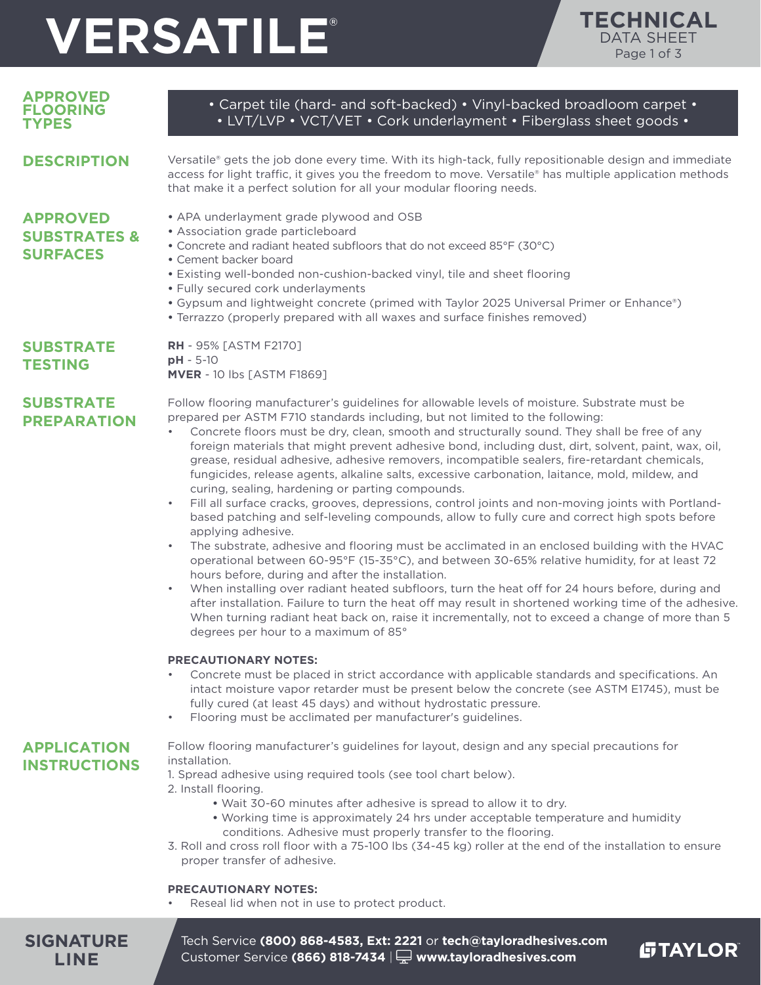# **VERSATILE** TECHNICA



| <b>APPROVED</b><br><b>FLOORING</b><br><b>TYPES</b>            | • Carpet tile (hard- and soft-backed) • Vinyl-backed broadloom carpet •<br>• LVT/LVP • VCT/VET • Cork underlayment • Fiberglass sheet goods •                                                                                                                                                                                                                                                                                                                                                                                                                                                                                                                                                                                                                                                                                                                                                                                                                                                                                                                                                                                                                                                                                                                                                                                                                                                                                                                                                                                                                                                                                                                                                                                                                                                                                                                                                                 |
|---------------------------------------------------------------|---------------------------------------------------------------------------------------------------------------------------------------------------------------------------------------------------------------------------------------------------------------------------------------------------------------------------------------------------------------------------------------------------------------------------------------------------------------------------------------------------------------------------------------------------------------------------------------------------------------------------------------------------------------------------------------------------------------------------------------------------------------------------------------------------------------------------------------------------------------------------------------------------------------------------------------------------------------------------------------------------------------------------------------------------------------------------------------------------------------------------------------------------------------------------------------------------------------------------------------------------------------------------------------------------------------------------------------------------------------------------------------------------------------------------------------------------------------------------------------------------------------------------------------------------------------------------------------------------------------------------------------------------------------------------------------------------------------------------------------------------------------------------------------------------------------------------------------------------------------------------------------------------------------|
| <b>DESCRIPTION</b>                                            | Versatile® gets the job done every time. With its high-tack, fully repositionable design and immediate<br>access for light traffic, it gives you the freedom to move. Versatile® has multiple application methods<br>that make it a perfect solution for all your modular flooring needs.                                                                                                                                                                                                                                                                                                                                                                                                                                                                                                                                                                                                                                                                                                                                                                                                                                                                                                                                                                                                                                                                                                                                                                                                                                                                                                                                                                                                                                                                                                                                                                                                                     |
| <b>APPROVED</b><br><b>SUBSTRATES &amp;</b><br><b>SURFACES</b> | • APA underlayment grade plywood and OSB<br>• Association grade particleboard<br>• Concrete and radiant heated subfloors that do not exceed 85°F (30°C)<br>• Cement backer board<br>· Existing well-bonded non-cushion-backed vinyl, tile and sheet flooring<br>· Fully secured cork underlayments<br>• Gypsum and lightweight concrete (primed with Taylor 2025 Universal Primer or Enhance®)<br>• Terrazzo (properly prepared with all waxes and surface finishes removed)                                                                                                                                                                                                                                                                                                                                                                                                                                                                                                                                                                                                                                                                                                                                                                                                                                                                                                                                                                                                                                                                                                                                                                                                                                                                                                                                                                                                                                  |
| <b>SUBSTRATE</b><br><b>TESTING</b>                            | <b>RH</b> - 95% [ASTM F2170]<br>$pH - 5-10$<br><b>MVER</b> - 10 lbs [ASTM F1869]                                                                                                                                                                                                                                                                                                                                                                                                                                                                                                                                                                                                                                                                                                                                                                                                                                                                                                                                                                                                                                                                                                                                                                                                                                                                                                                                                                                                                                                                                                                                                                                                                                                                                                                                                                                                                              |
| <b>SUBSTRATE</b><br><b>PREPARATION</b>                        | Follow flooring manufacturer's guidelines for allowable levels of moisture. Substrate must be<br>prepared per ASTM F710 standards including, but not limited to the following:<br>Concrete floors must be dry, clean, smooth and structurally sound. They shall be free of any<br>foreign materials that might prevent adhesive bond, including dust, dirt, solvent, paint, wax, oil,<br>grease, residual adhesive, adhesive removers, incompatible sealers, fire-retardant chemicals,<br>fungicides, release agents, alkaline salts, excessive carbonation, laitance, mold, mildew, and<br>curing, sealing, hardening or parting compounds.<br>Fill all surface cracks, grooves, depressions, control joints and non-moving joints with Portland-<br>$\bullet$<br>based patching and self-leveling compounds, allow to fully cure and correct high spots before<br>applying adhesive.<br>The substrate, adhesive and flooring must be acclimated in an enclosed building with the HVAC<br>$\bullet$<br>operational between 60-95°F (15-35°C), and between 30-65% relative humidity, for at least 72<br>hours before, during and after the installation.<br>When installing over radiant heated subfloors, turn the heat off for 24 hours before, during and<br>$\bullet$<br>after installation. Failure to turn the heat off may result in shortened working time of the adhesive.<br>When turning radiant heat back on, raise it incrementally, not to exceed a change of more than 5<br>degrees per hour to a maximum of 85°<br><b>PRECAUTIONARY NOTES:</b><br>Concrete must be placed in strict accordance with applicable standards and specifications. An<br>intact moisture vapor retarder must be present below the concrete (see ASTM E1745), must be<br>fully cured (at least 45 days) and without hydrostatic pressure.<br>Flooring must be acclimated per manufacturer's guidelines.<br>$\bullet$ |
| <b>APPLICATION</b><br><b>INSTRUCTIONS</b>                     | Follow flooring manufacturer's guidelines for layout, design and any special precautions for<br>installation.<br>1. Spread adhesive using required tools (see tool chart below).<br>2. Install flooring.<br>• Wait 30-60 minutes after adhesive is spread to allow it to dry.<br>. Working time is approximately 24 hrs under acceptable temperature and humidity<br>conditions. Adhesive must properly transfer to the flooring.<br>3. Roll and cross roll floor with a 75-100 lbs (34-45 kg) roller at the end of the installation to ensure<br>proper transfer of adhesive.                                                                                                                                                                                                                                                                                                                                                                                                                                                                                                                                                                                                                                                                                                                                                                                                                                                                                                                                                                                                                                                                                                                                                                                                                                                                                                                                |
|                                                               | <b>PRECAUTIONARY NOTES:</b><br>Reseal lid when not in use to protect product.                                                                                                                                                                                                                                                                                                                                                                                                                                                                                                                                                                                                                                                                                                                                                                                                                                                                                                                                                                                                                                                                                                                                                                                                                                                                                                                                                                                                                                                                                                                                                                                                                                                                                                                                                                                                                                 |

**SIGNATURE LINE**

Tech Service **(800) 868-4583, Ext: 2221** or **tech@tayloradhesives.com** Customer Service **(866) 818-7434** | **www.tayloradhesives.com**

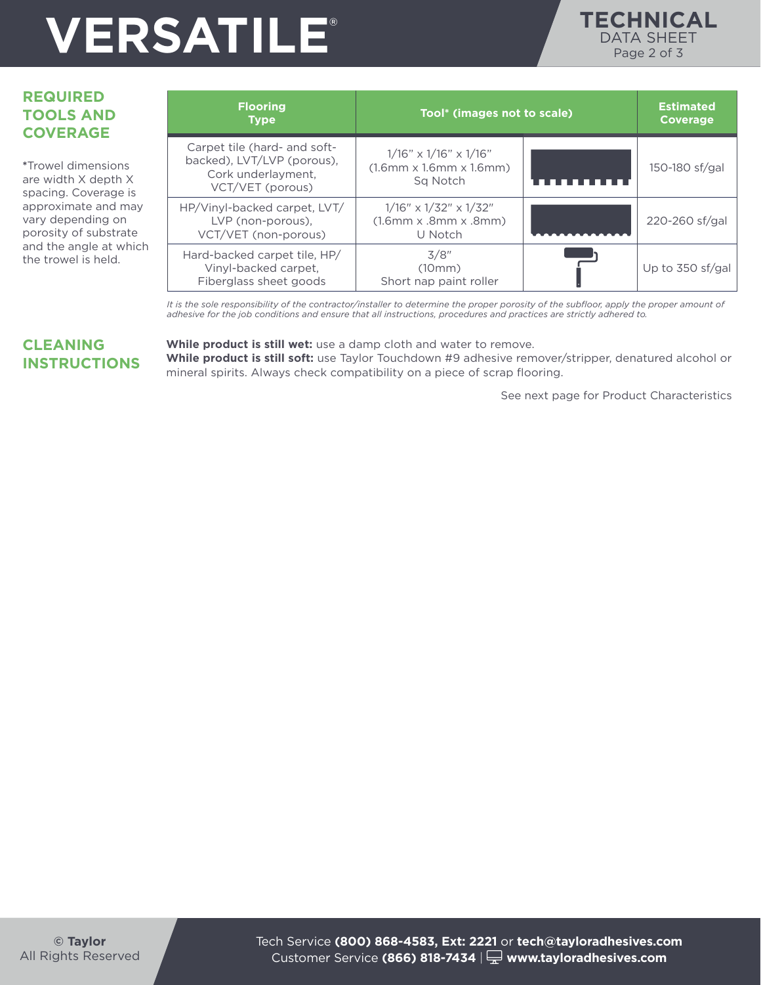## **VERSATILE** FRAMER



### **REQUIRED TOOLS AND COVERAGE**

**\***Trowel dimensions are width X depth X spacing. Coverage is approximate and may vary depending on porosity of substrate and the angle at which the trowel is held.

| <b>Flooring</b><br><b>Type</b>                                                                       | Tool* (images not to scale)                                                          | <b>Estimated</b><br><b>Coverage</b> |                  |
|------------------------------------------------------------------------------------------------------|--------------------------------------------------------------------------------------|-------------------------------------|------------------|
| Carpet tile (hard- and soft-<br>backed), LVT/LVP (porous),<br>Cork underlayment,<br>VCT/VET (porous) | $1/16" \times 1/16" \times 1/16"$<br>$(1.6$ mm x $1.6$ mm x $1.6$ mm $)$<br>Sa Notch |                                     | 150-180 sf/gal   |
| HP/Vinyl-backed carpet, LVT/<br>LVP (non-porous),<br>VCT/VET (non-porous)                            | $1/16''$ x $1/32''$ x $1/32''$<br>$(1.6$ mm x $.8$ mm x $.8$ mm $)$<br>U Notch       |                                     | 220-260 sf/gal   |
| Hard-backed carpet tile, HP/<br>Vinyl-backed carpet.<br>Fiberglass sheet goods                       | 3/8"<br>(10mm)<br>Short nap paint roller                                             |                                     | Up to 350 sf/gal |

It is the sole responsibility of the contractor/installer to determine the proper porosity of the subfloor, apply the proper amount of *adhesive for the job conditions and ensure that all instructions, procedures and practices are strictly adhered to.*

### **CLEANING INSTRUCTIONS**

#### **While product is still wet:** use a damp cloth and water to remove.

**While product is still soft:** use Taylor Touchdown #9 adhesive remover/stripper, denatured alcohol or mineral spirits. Always check compatibility on a piece of scrap flooring.

See next page for Product Characteristics